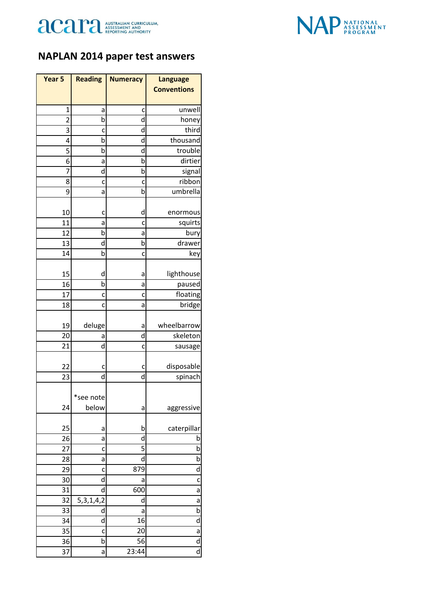



## **NAPLAN 2014 paper test answers**

| Year 5         | <b>Reading</b>         | <b>Numeracy</b> | <b>Language</b>         |
|----------------|------------------------|-----------------|-------------------------|
|                |                        |                 | <b>Conventions</b>      |
|                |                        |                 |                         |
| 1              | а                      | c               | unwell                  |
| $\overline{2}$ | b                      | d               | honey                   |
| 3              | c                      | d               | third                   |
| 4              | b                      | d<br>d          | thousand                |
| 5              | b                      | b               | trouble<br>dirtier      |
| 6<br>7         | а<br>d                 | b               |                         |
| 8              | c                      |                 | signal<br>ribbon        |
| 9              | а                      | c<br>þ          | umbrella                |
|                |                        |                 |                         |
| 10             | c                      | d               | enormous                |
| 11             | a                      | c               | squirts                 |
| 12             | b                      | а               | bury                    |
| 13             | d                      | b               | drawer                  |
| 14             | b                      | c               | key                     |
|                |                        |                 |                         |
| 15             | d                      | а               | lighthouse              |
| 16             | b                      | а               | paused                  |
| 17             | c                      | c               | floating                |
| 18             | C                      | a               | bridge                  |
| 19             | deluge                 | а               | wheelbarrow             |
| 20             | а                      | d               | skeleton                |
| 21             | d                      | C               | sausage                 |
|                |                        |                 |                         |
| 22             | c                      | c               | disposable              |
| 23             | d                      | d               | spinach                 |
|                |                        |                 |                         |
|                | *see note              |                 |                         |
| 24             | below                  | а               | aggressive              |
|                |                        |                 |                         |
| 25             | а                      | b               | caterpillar             |
| 26<br>27       | а                      | d<br>5          | b<br>b                  |
| 28             | c                      | d               | b                       |
| 29             | a<br>C                 | 879             | d                       |
| 30             | d                      | a               | C                       |
| 31             | d                      | 600             | a                       |
| 32             | $\overline{5,3,1,4,2}$ | d               | a                       |
| 33             | d                      | а               | b                       |
| 34             | d                      | 16              | d                       |
| 35             | C                      | 20              | a                       |
| 36             | b                      | 56              | d                       |
| 37             | a                      | 23:44           | $\overline{\mathsf{d}}$ |